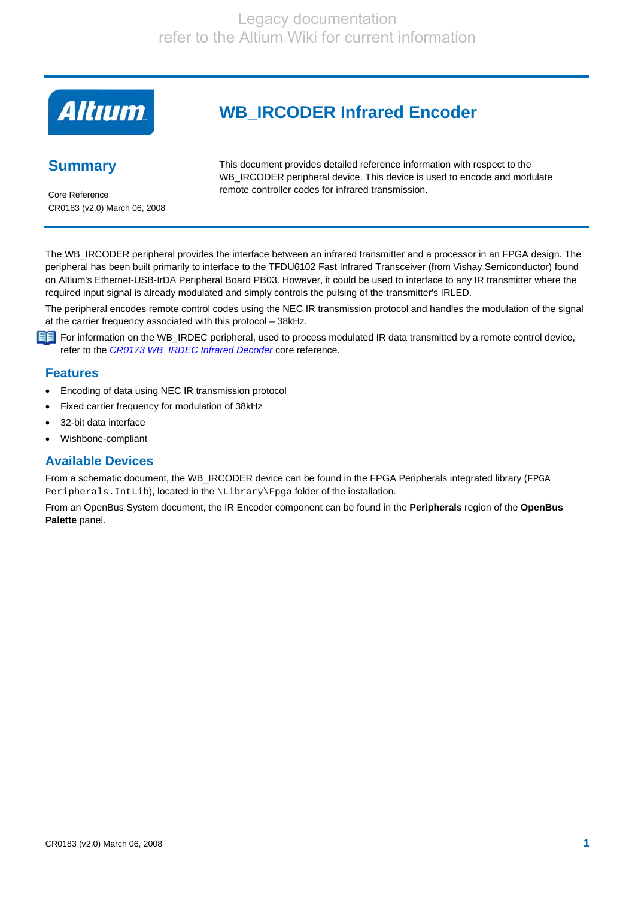

# **WB\_IRCODER Infrared Encoder**

## **Summary**

This document provides detailed reference information with respect to the WB\_IRCODER peripheral device. This device is used to encode and modulate remote controller codes for infrared transmission.

Core Reference CR0183 (v2.0) March 06, 2008

The WB\_IRCODER peripheral provides the interface between an infrared transmitter and a processor in an FPGA design. The peripheral has been built primarily to interface to the TFDU6102 Fast Infrared Transceiver (from Vishay Semiconductor) found on Altium's Ethernet-USB-IrDA Peripheral Board PB03. However, it could be used to interface to any IR transmitter where the required input signal is already modulated and simply controls the pulsing of the transmitter's IRLED.

The peripheral encodes remote control codes using the NEC IR transmission protocol and handles the modulation of the signal at the carrier frequency associated with this protocol – 38kHz.

For information on the WB\_IRDEC peripheral, used to process modulated IR data transmitted by a remote control device, refer to the *CR0173 WB\_IRDEC Infrared Decoder* core reference.

### **Features**

- Encoding of data using NEC IR transmission protocol
- Fixed carrier frequency for modulation of 38kHz
- 32-bit data interface
- Wishbone-compliant

## **Available Devices**

From a schematic document, the WB\_IRCODER device can be found in the FPGA Peripherals integrated library (FPGA Peripherals. IntLib), located in the \Library\Fpga folder of the installation.

From an OpenBus System document, the IR Encoder component can be found in the **Peripherals** region of the **OpenBus Palette** panel.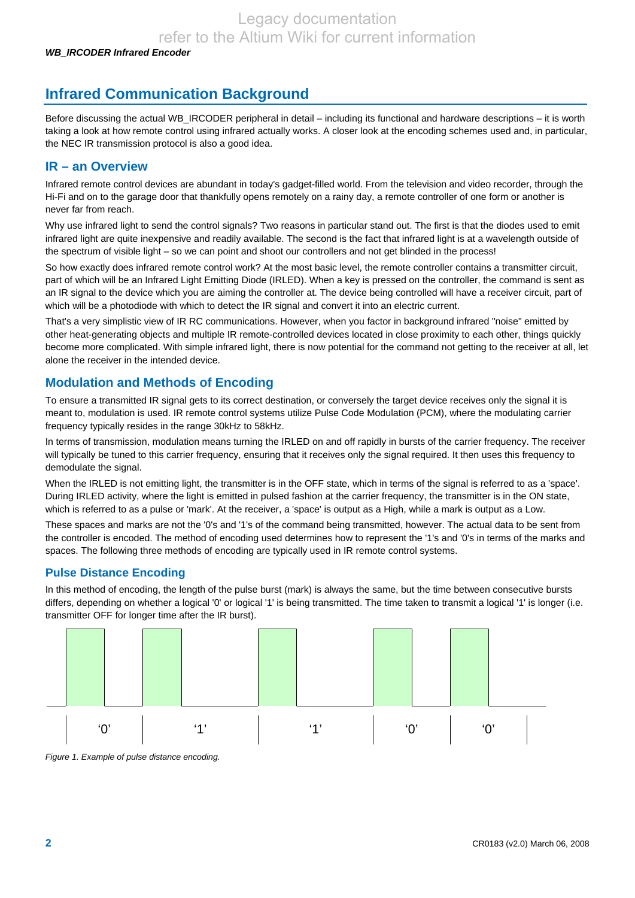# **Infrared Communication Background**

Before discussing the actual WB\_IRCODER peripheral in detail – including its functional and hardware descriptions – it is worth taking a look at how remote control using infrared actually works. A closer look at the encoding schemes used and, in particular, the NEC IR transmission protocol is also a good idea.

### **IR – an Overview**

Infrared remote control devices are abundant in today's gadget-filled world. From the television and video recorder, through the Hi-Fi and on to the garage door that thankfully opens remotely on a rainy day, a remote controller of one form or another is never far from reach.

Why use infrared light to send the control signals? Two reasons in particular stand out. The first is that the diodes used to emit infrared light are quite inexpensive and readily available. The second is the fact that infrared light is at a wavelength outside of the spectrum of visible light – so we can point and shoot our controllers and not get blinded in the process!

So how exactly does infrared remote control work? At the most basic level, the remote controller contains a transmitter circuit, part of which will be an Infrared Light Emitting Diode (IRLED). When a key is pressed on the controller, the command is sent as an IR signal to the device which you are aiming the controller at. The device being controlled will have a receiver circuit, part of which will be a photodiode with which to detect the IR signal and convert it into an electric current.

That's a very simplistic view of IR RC communications. However, when you factor in background infrared "noise" emitted by other heat-generating objects and multiple IR remote-controlled devices located in close proximity to each other, things quickly become more complicated. With simple infrared light, there is now potential for the command not getting to the receiver at all, let alone the receiver in the intended device.

## **Modulation and Methods of Encoding**

To ensure a transmitted IR signal gets to its correct destination, or conversely the target device receives only the signal it is meant to, modulation is used. IR remote control systems utilize Pulse Code Modulation (PCM), where the modulating carrier frequency typically resides in the range 30kHz to 58kHz.

In terms of transmission, modulation means turning the IRLED on and off rapidly in bursts of the carrier frequency. The receiver will typically be tuned to this carrier frequency, ensuring that it receives only the signal required. It then uses this frequency to demodulate the signal.

When the IRLED is not emitting light, the transmitter is in the OFF state, which in terms of the signal is referred to as a 'space'. During IRLED activity, where the light is emitted in pulsed fashion at the carrier frequency, the transmitter is in the ON state, which is referred to as a pulse or 'mark'. At the receiver, a 'space' is output as a High, while a mark is output as a Low.

These spaces and marks are not the '0's and '1's of the command being transmitted, however. The actual data to be sent from the controller is encoded. The method of encoding used determines how to represent the '1's and '0's in terms of the marks and spaces. The following three methods of encoding are typically used in IR remote control systems.

### **Pulse Distance Encoding**

In this method of encoding, the length of the pulse burst (mark) is always the same, but the time between consecutive bursts differs, depending on whether a logical '0' or logical '1' is being transmitted. The time taken to transmit a logical '1' is longer (i.e. transmitter OFF for longer time after the IR burst).



*Figure 1. Example of pulse distance encoding.*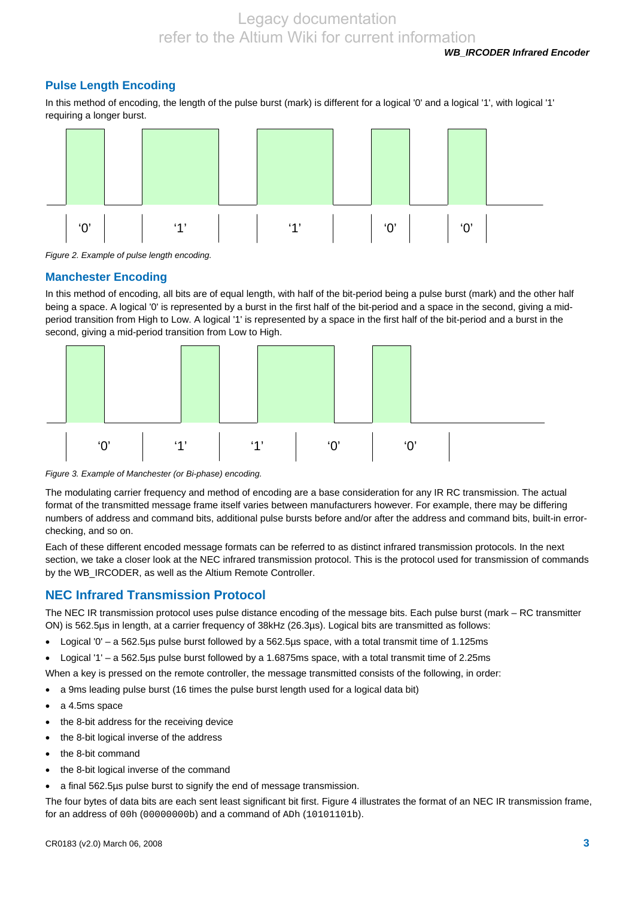### **Pulse Length Encoding**

In this method of encoding, the length of the pulse burst (mark) is different for a logical '0' and a logical '1', with logical '1' requiring a longer burst.



*Figure 2. Example of pulse length encoding.* 

#### **Manchester Encoding**

In this method of encoding, all bits are of equal length, with half of the bit-period being a pulse burst (mark) and the other half being a space. A logical '0' is represented by a burst in the first half of the bit-period and a space in the second, giving a midperiod transition from High to Low. A logical '1' is represented by a space in the first half of the bit-period and a burst in the second, giving a mid-period transition from Low to High.



*Figure 3. Example of Manchester (or Bi-phase) encoding.* 

The modulating carrier frequency and method of encoding are a base consideration for any IR RC transmission. The actual format of the transmitted message frame itself varies between manufacturers however. For example, there may be differing numbers of address and command bits, additional pulse bursts before and/or after the address and command bits, built-in errorchecking, and so on.

Each of these different encoded message formats can be referred to as distinct infrared transmission protocols. In the next section, we take a closer look at the NEC infrared transmission protocol. This is the protocol used for transmission of commands by the WB\_IRCODER, as well as the Altium Remote Controller.

#### **NEC Infrared Transmission Protocol**

The NEC IR transmission protocol uses pulse distance encoding of the message bits. Each pulse burst (mark – RC transmitter ON) is 562.5µs in length, at a carrier frequency of 38kHz (26.3µs). Logical bits are transmitted as follows:

- Logical '0' a 562.5µs pulse burst followed by a 562.5µs space, with a total transmit time of 1.125ms
- Logical '1' a 562.5µs pulse burst followed by a 1.6875ms space, with a total transmit time of 2.25ms

When a key is pressed on the remote controller, the message transmitted consists of the following, in order:

- a 9ms leading pulse burst (16 times the pulse burst length used for a logical data bit)
- a 4.5ms space
- the 8-bit address for the receiving device
- the 8-bit logical inverse of the address
- the 8-bit command
- the 8-bit logical inverse of the command
- a final 562.5µs pulse burst to signify the end of message transmission.

The four bytes of data bits are each sent least significant bit first. Figure 4 illustrates the format of an NEC IR transmission frame, for an address of 00h (00000000b) and a command of ADh (10101101b).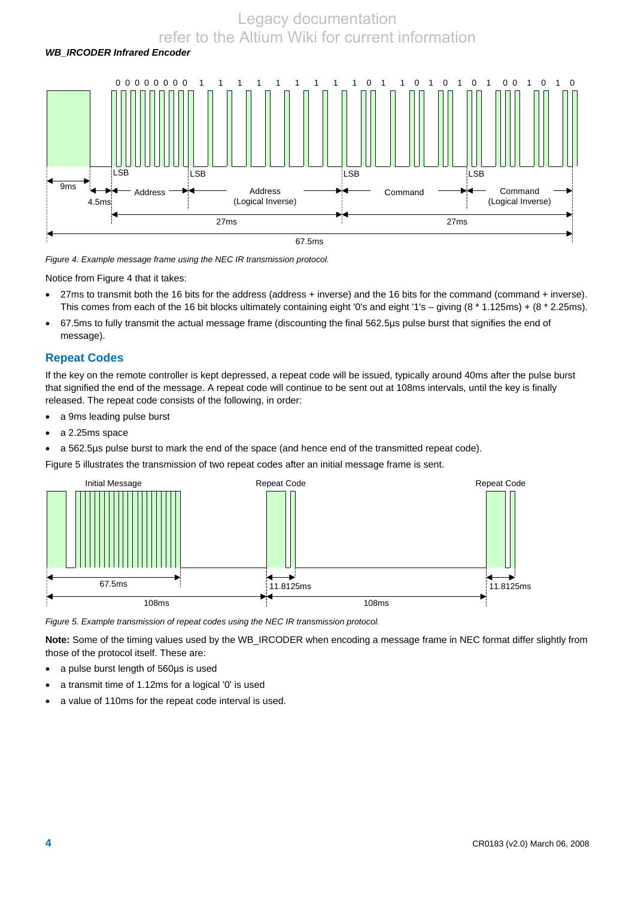

*Figure 4. Example message frame using the NEC IR transmission protocol.* 

Notice from Figure 4 that it takes:

- 27ms to transmit both the 16 bits for the address (address + inverse) and the 16 bits for the command (command + inverse). This comes from each of the 16 bit blocks ultimately containing eight '0's and eight '1's – giving (8 \* 1.125ms) + (8 \* 2.25ms).
- 67.5ms to fully transmit the actual message frame (discounting the final 562.5µs pulse burst that signifies the end of message).

#### **Repeat Codes**

If the key on the remote controller is kept depressed, a repeat code will be issued, typically around 40ms after the pulse burst that signified the end of the message. A repeat code will continue to be sent out at 108ms intervals, until the key is finally released. The repeat code consists of the following, in order:

- a 9ms leading pulse burst
- a 2.25ms space
- a 562.5µs pulse burst to mark the end of the space (and hence end of the transmitted repeat code).

Figure 5 illustrates the transmission of two repeat codes after an initial message frame is sent.



*Figure 5. Example transmission of repeat codes using the NEC IR transmission protocol.* 

**Note:** Some of the timing values used by the WB\_IRCODER when encoding a message frame in NEC format differ slightly from those of the protocol itself. These are:

- a pulse burst length of 560µs is used
- a transmit time of 1.12ms for a logical '0' is used
- a value of 110ms for the repeat code interval is used.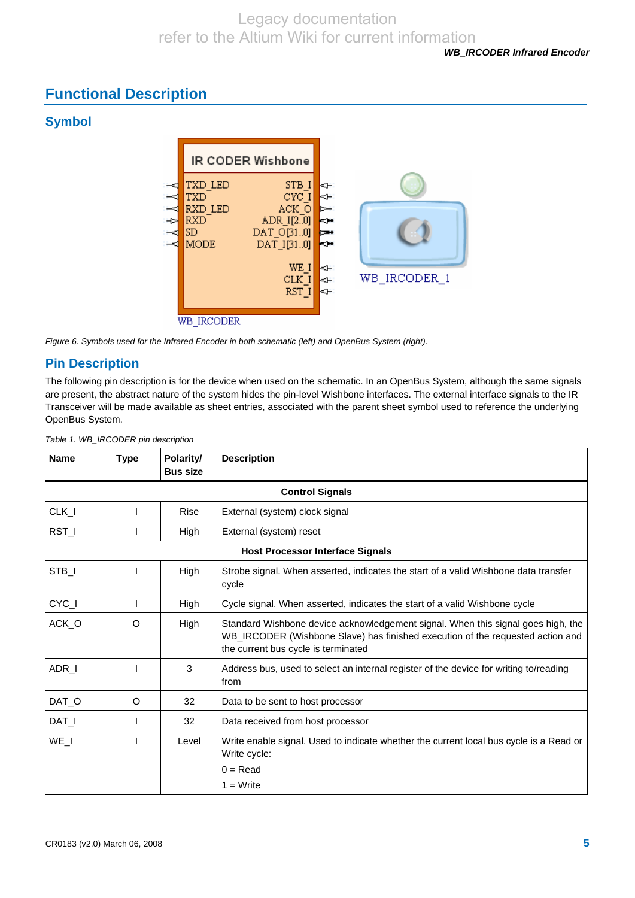# **Functional Description**

## **Symbol**



*Figure 6. Symbols used for the Infrared Encoder in both schematic (left) and OpenBus System (right).* 

## **Pin Description**

The following pin description is for the device when used on the schematic. In an OpenBus System, although the same signals are present, the abstract nature of the system hides the pin-level Wishbone interfaces. The external interface signals to the IR Transceiver will be made available as sheet entries, associated with the parent sheet symbol used to reference the underlying OpenBus System.

| <b>Name</b> | <b>Type</b> | Polarity/<br><b>Bus size</b> | <b>Description</b>                                                                                                                                                                                        |  |
|-------------|-------------|------------------------------|-----------------------------------------------------------------------------------------------------------------------------------------------------------------------------------------------------------|--|
|             |             |                              | <b>Control Signals</b>                                                                                                                                                                                    |  |
| $CLK_l$     |             | Rise                         | External (system) clock signal                                                                                                                                                                            |  |
| RST_I       |             | High                         | External (system) reset                                                                                                                                                                                   |  |
|             |             |                              | <b>Host Processor Interface Signals</b>                                                                                                                                                                   |  |
| STB_I       |             | High                         | Strobe signal. When asserted, indicates the start of a valid Wishbone data transfer<br>cycle                                                                                                              |  |
| CYC_I       |             | High                         | Cycle signal. When asserted, indicates the start of a valid Wishbone cycle                                                                                                                                |  |
| ACK_O       | $\circ$     | High                         | Standard Wishbone device acknowledgement signal. When this signal goes high, the<br>WB_IRCODER (Wishbone Slave) has finished execution of the requested action and<br>the current bus cycle is terminated |  |
| ADR_I       |             | 3                            | Address bus, used to select an internal register of the device for writing to/reading<br>from                                                                                                             |  |
| DAT_O       | O           | 32                           | Data to be sent to host processor                                                                                                                                                                         |  |
| $DATA_l$    |             | 32                           | Data received from host processor                                                                                                                                                                         |  |
| WE_I        |             | Level                        | Write enable signal. Used to indicate whether the current local bus cycle is a Read or<br>Write cycle:<br>$0 = Read$                                                                                      |  |
|             |             |                              | $1 = Write$                                                                                                                                                                                               |  |

*Table 1. WB\_IRCODER pin description*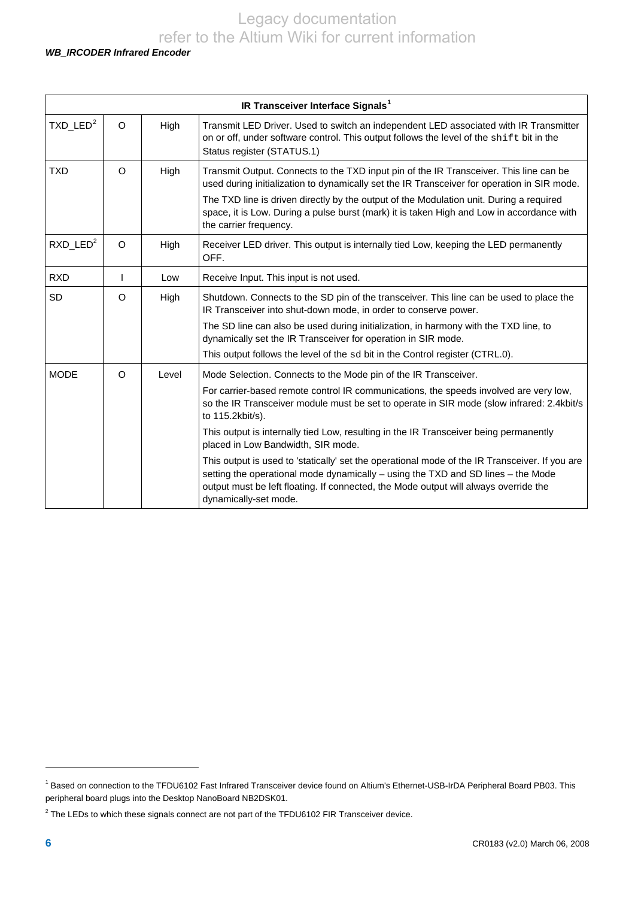#### *WB\_IRCODER Infrared Encoder*

<span id="page-5-2"></span>

| IR Transceiver Interface Signals <sup>1</sup> |         |       |                                                                                                                                                                                                                                                                                                     |  |  |
|-----------------------------------------------|---------|-------|-----------------------------------------------------------------------------------------------------------------------------------------------------------------------------------------------------------------------------------------------------------------------------------------------------|--|--|
| $TXD$ _LED <sup>2</sup>                       | O       | High  | Transmit LED Driver. Used to switch an independent LED associated with IR Transmitter<br>on or off, under software control. This output follows the level of the shift bit in the<br>Status register (STATUS.1)                                                                                     |  |  |
| <b>TXD</b>                                    | $\circ$ | High  | Transmit Output. Connects to the TXD input pin of the IR Transceiver. This line can be<br>used during initialization to dynamically set the IR Transceiver for operation in SIR mode.                                                                                                               |  |  |
|                                               |         |       | The TXD line is driven directly by the output of the Modulation unit. During a required<br>space, it is Low. During a pulse burst (mark) it is taken High and Low in accordance with<br>the carrier frequency.                                                                                      |  |  |
| $RXD$ _LED <sup>2</sup>                       | $\circ$ | High  | Receiver LED driver. This output is internally tied Low, keeping the LED permanently<br>OFF.                                                                                                                                                                                                        |  |  |
| <b>RXD</b>                                    | T       | Low   | Receive Input. This input is not used.                                                                                                                                                                                                                                                              |  |  |
| SD                                            | $\circ$ | High  | Shutdown. Connects to the SD pin of the transceiver. This line can be used to place the<br>IR Transceiver into shut-down mode, in order to conserve power.                                                                                                                                          |  |  |
|                                               |         |       | The SD line can also be used during initialization, in harmony with the TXD line, to<br>dynamically set the IR Transceiver for operation in SIR mode.                                                                                                                                               |  |  |
|                                               |         |       | This output follows the level of the sd bit in the Control register (CTRL.0).                                                                                                                                                                                                                       |  |  |
| <b>MODE</b>                                   | $\circ$ | Level | Mode Selection. Connects to the Mode pin of the IR Transceiver.                                                                                                                                                                                                                                     |  |  |
|                                               |         |       | For carrier-based remote control IR communications, the speeds involved are very low,<br>so the IR Transceiver module must be set to operate in SIR mode (slow infrared: 2.4kbit/s<br>to 115.2kbit/s).                                                                                              |  |  |
|                                               |         |       | This output is internally tied Low, resulting in the IR Transceiver being permanently<br>placed in Low Bandwidth, SIR mode.                                                                                                                                                                         |  |  |
|                                               |         |       | This output is used to 'statically' set the operational mode of the IR Transceiver. If you are<br>setting the operational mode dynamically - using the TXD and SD lines - the Mode<br>output must be left floating. If connected, the Mode output will always override the<br>dynamically-set mode. |  |  |

l

<span id="page-5-0"></span><sup>&</sup>lt;sup>1</sup> Based on connection to the TFDU6102 Fast Infrared Transceiver device found on Altium's Ethernet-USB-IrDA Peripheral Board PB03. This peripheral board plugs into the Desktop NanoBoard NB2DSK01.

<span id="page-5-1"></span> $2$  The LEDs to which these signals connect are not part of the TFDU6102 FIR Transceiver device.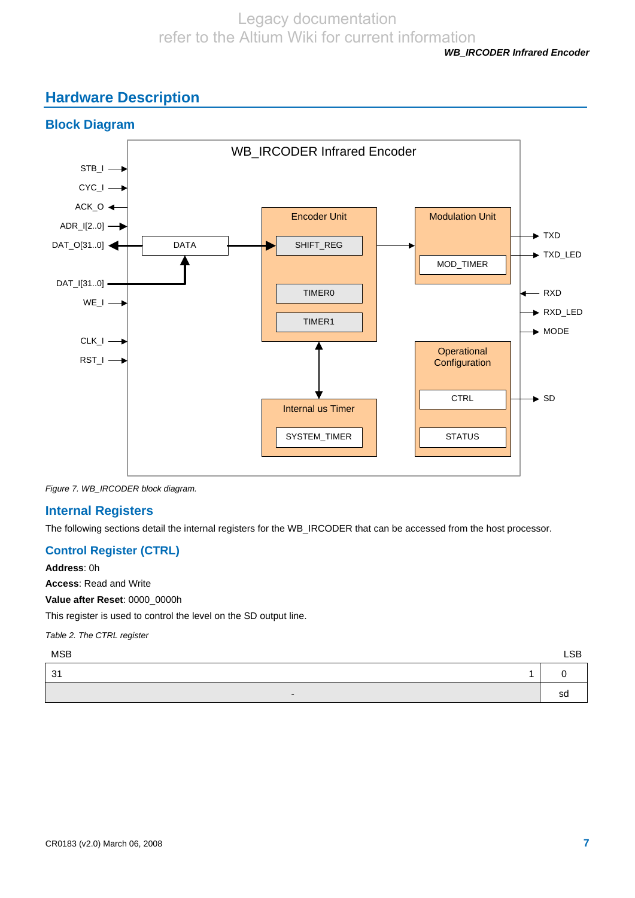#### *WB\_IRCODER Infrared Encoder*

# **Hardware Description**



*Figure 7. WB\_IRCODER block diagram.* 

### **Internal Registers**

The following sections detail the internal registers for the WB\_IRCODER that can be accessed from the host processor.

### **Control Register (CTRL)**

**Address**: 0h **Access**: Read and Write **Value after Reset**: 0000\_0000h This register is used to control the level on the SD output line.

*Table 2. The CTRL register* 

which is a set of the control of the control of the control of the control of the control of the control of the control of the control of the control of the control of the control of the control of the control of the contr

| 31 |  | $1 \vert 0$ |  |
|----|--|-------------|--|
|    |  |             |  |

- Solomon and the state of the state of the state of the state of the state of the state of the state of the s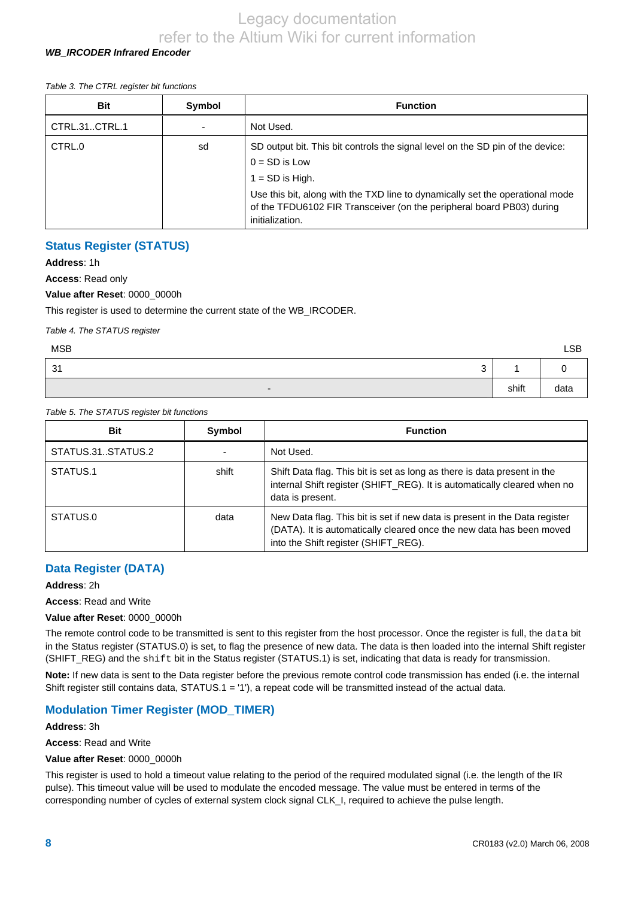#### *WB\_IRCODER Infrared Encoder*

#### *Table 3. The CTRL register bit functions*

| <b>Bit</b>    | Symbol | <b>Function</b>                                                                                                                                                           |
|---------------|--------|---------------------------------------------------------------------------------------------------------------------------------------------------------------------------|
| CTRL.31CTRL.1 |        | Not Used.                                                                                                                                                                 |
| CTRL.0        | sd     | SD output bit. This bit controls the signal level on the SD pin of the device:<br>$0 = SD$ is Low<br>$1 = SD$ is High.                                                    |
|               |        | Use this bit, along with the TXD line to dynamically set the operational mode<br>of the TFDU6102 FIR Transceiver (on the peripheral board PB03) during<br>initialization. |

#### **Status Register (STATUS)**

**Address**: 1h

**Access**: Read only

#### **Value after Reset**: 0000\_0000h

This register is used to determine the current state of the WB\_IRCODER.

*Table 4. The STATUS register* 

| <b>MSB</b>               |       | <b>LSB</b> |
|--------------------------|-------|------------|
| 31<br>$\sim$<br>ັ        |       |            |
| $\overline{\phantom{0}}$ | shift | data       |

#### *Table 5. The STATUS register bit functions*

| <b>Bit</b>        | Symbol | <b>Function</b>                                                                                                                                                                            |
|-------------------|--------|--------------------------------------------------------------------------------------------------------------------------------------------------------------------------------------------|
| STATUS.31STATUS.2 |        | Not Used.                                                                                                                                                                                  |
| STATUS.1          | shift  | Shift Data flag. This bit is set as long as there is data present in the<br>internal Shift register (SHIFT_REG). It is automatically cleared when no<br>data is present.                   |
| STATUS.0          | data   | New Data flag. This bit is set if new data is present in the Data register<br>(DATA). It is automatically cleared once the new data has been moved<br>into the Shift register (SHIFT_REG). |

### **Data Register (DATA)**

#### **Address**: 2h

**Access**: Read and Write

**Value after Reset**: 0000\_0000h

The remote control code to be transmitted is sent to this register from the host processor. Once the register is full, the data bit in the Status register (STATUS.0) is set, to flag the presence of new data. The data is then loaded into the internal Shift register (SHIFT\_REG) and the shift bit in the Status register (STATUS.1) is set, indicating that data is ready for transmission.

**Note:** If new data is sent to the Data register before the previous remote control code transmission has ended (i.e. the internal Shift register still contains data, STATUS.1 = '1'), a repeat code will be transmitted instead of the actual data.

### **Modulation Timer Register (MOD\_TIMER)**

#### **Address**: 3h

**Access**: Read and Write

#### **Value after Reset**: 0000\_0000h

This register is used to hold a timeout value relating to the period of the required modulated signal (i.e. the length of the IR pulse). This timeout value will be used to modulate the encoded message. The value must be entered in terms of the corresponding number of cycles of external system clock signal CLK\_I, required to achieve the pulse length.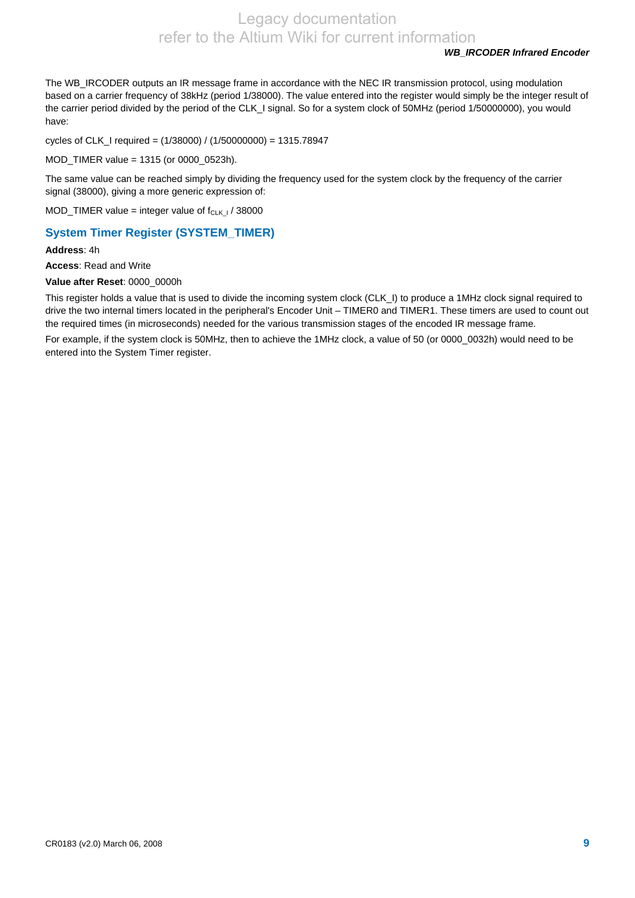#### *WB\_IRCODER Infrared Encoder*

The WB\_IRCODER outputs an IR message frame in accordance with the NEC IR transmission protocol, using modulation based on a carrier frequency of 38kHz (period 1/38000). The value entered into the register would simply be the integer result of the carrier period divided by the period of the CLK\_I signal. So for a system clock of 50MHz (period 1/50000000), you would have:

cycles of CLK\_I required = (1/38000) / (1/50000000) = 1315.78947

MOD\_TIMER value = 1315 (or 0000\_0523h).

The same value can be reached simply by dividing the frequency used for the system clock by the frequency of the carrier signal (38000), giving a more generic expression of:

MOD\_TIMER value = integer value of  $f_{CLK I}$  / 38000

### **System Timer Register (SYSTEM\_TIMER)**

**Address**: 4h

**Access**: Read and Write

**Value after Reset**: 0000\_0000h

This register holds a value that is used to divide the incoming system clock (CLK\_I) to produce a 1MHz clock signal required to drive the two internal timers located in the peripheral's Encoder Unit – TIMER0 and TIMER1. These timers are used to count out the required times (in microseconds) needed for the various transmission stages of the encoded IR message frame.

For example, if the system clock is 50MHz, then to achieve the 1MHz clock, a value of 50 (or 0000\_0032h) would need to be entered into the System Timer register.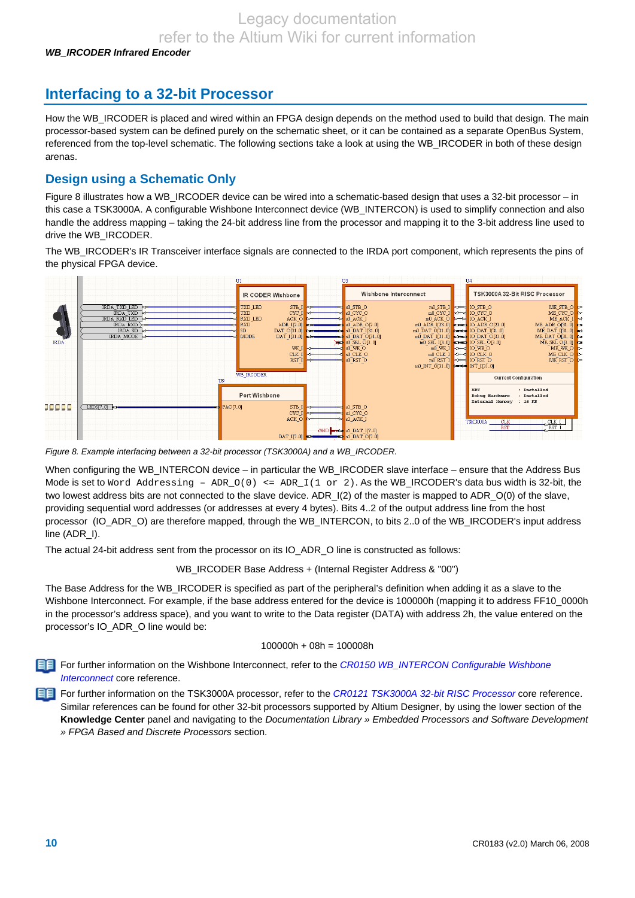# **Interfacing to a 32-bit Processor**

How the WB\_IRCODER is placed and wired within an FPGA design depends on the method used to build that design. The main processor-based system can be defined purely on the schematic sheet, or it can be contained as a separate OpenBus System, referenced from the top-level schematic. The following sections take a look at using the WB\_IRCODER in both of these design arenas.

## **Design using a Schematic Only**

Figure 8 illustrates how a WB\_IRCODER device can be wired into a schematic-based design that uses a 32-bit processor – in this case a TSK3000A. A configurable Wishbone Interconnect device (WB\_INTERCON) is used to simplify connection and also handle the address mapping – taking the 24-bit address line from the processor and mapping it to the 3-bit address line used to drive the WB\_IRCODER.

The WB\_IRCODER's IR Transceiver interface signals are connected to the IRDA port component, which represents the pins of the physical FPGA device.



*Figure 8. Example interfacing between a 32-bit processor (TSK3000A) and a WB\_IRCODER.* 

When configuring the WB\_INTERCON device – in particular the WB\_IRCODER slave interface – ensure that the Address Bus Mode is set to Word Addressing – ADR\_O(0) <= ADR\_I(1 or 2). As the WB\_IRCODER's data bus width is 32-bit, the two lowest address bits are not connected to the slave device. ADR\_I(2) of the master is mapped to ADR\_O(0) of the slave, providing sequential word addresses (or addresses at every 4 bytes). Bits 4..2 of the output address line from the host processor (IO\_ADR\_O) are therefore mapped, through the WB\_INTERCON, to bits 2..0 of the WB\_IRCODER's input address line (ADR\_I).

The actual 24-bit address sent from the processor on its IO\_ADR\_O line is constructed as follows:

WB\_IRCODER Base Address + (Internal Register Address & "00")

The Base Address for the WB\_IRCODER is specified as part of the peripheral's definition when adding it as a slave to the Wishbone Interconnect. For example, if the base address entered for the device is 100000h (mapping it to address FF10\_0000h in the processor's address space), and you want to write to the Data register (DATA) with address 2h, the value entered on the processor's IO\_ADR\_O line would be:

#### 100000h + 08h = 100008h

For further information on the Wishbone Interconnect, refer to the *CR0150 WB\_INTERCON Configurable Wishbone Interconnect* core reference.

For further information on the TSK3000A processor, refer to the *CR0121 TSK3000A 32-bit RISC Processor* core reference. Similar references can be found for other 32-bit processors supported by Altium Designer, by using the lower section of the **Knowledge Center** panel and navigating to the *Documentation Library » Embedded Processors and Software Development » FPGA Based and Discrete Processors* section.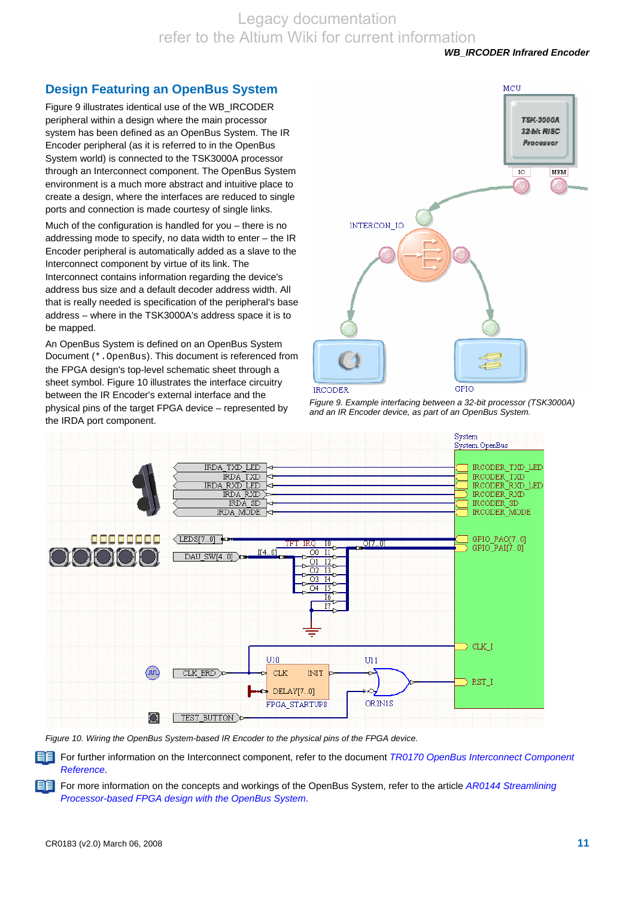## **Design Featuring an OpenBus System**

Figure 9 illustrates identical use of the WB\_IRCODER peripheral within a design where the main processor system has been defined as an OpenBus System. The IR Encoder peripheral (as it is referred to in the OpenBus System world) is connected to the TSK3000A processor through an Interconnect component. The OpenBus System environment is a much more abstract and intuitive place to create a design, where the interfaces are reduced to single ports and connection is made courtesy of single links.

Much of the configuration is handled for you – there is no addressing mode to specify, no data width to enter – the IR Encoder peripheral is automatically added as a slave to the Interconnect component by virtue of its link. The Interconnect contains information regarding the device's address bus size and a default decoder address width. All that is really needed is specification of the peripheral's base address – where in the TSK3000A's address space it is to be mapped.

An OpenBus System is defined on an OpenBus System Document (\*.OpenBus). This document is referenced from the FPGA design's top-level schematic sheet through a sheet symbol. Figure 10 illustrates the interface circuitry between the IR Encoder's external interface and the physical pins of the target FPGA device – represented by the IRDA port component.



*Figure 9. Example interfacing between a 32-bit processor (TSK3000A) and an IR Encoder device, as part of an OpenBus System.* 



*Figure 10. Wiring the OpenBus System-based IR Encoder to the physical pins of the FPGA device.* 

For further information on the Interconnect component, refer to the document *TR0170 OpenBus Interconnect Component Reference*.

For more information on the concepts and workings of the OpenBus System, refer to the article *AR0144 Streamlining Processor-based FPGA design with the OpenBus System*.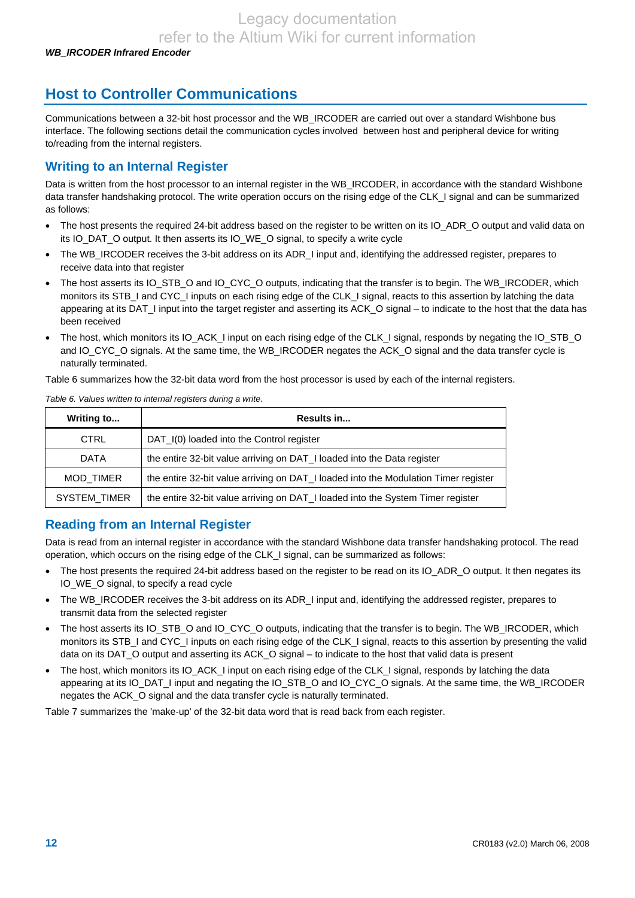# **Host to Controller Communications**

Communications between a 32-bit host processor and the WB\_IRCODER are carried out over a standard Wishbone bus interface. The following sections detail the communication cycles involved between host and peripheral device for writing to/reading from the internal registers.

## **Writing to an Internal Register**

Data is written from the host processor to an internal register in the WB\_IRCODER, in accordance with the standard Wishbone data transfer handshaking protocol. The write operation occurs on the rising edge of the CLK\_I signal and can be summarized as follows:

- The host presents the required 24-bit address based on the register to be written on its IO\_ADR\_O output and valid data on its IO\_DAT\_O output. It then asserts its IO\_WE\_O signal, to specify a write cycle
- The WB\_IRCODER receives the 3-bit address on its ADR\_I input and, identifying the addressed register, prepares to receive data into that register
- The host asserts its IO\_STB\_O and IO\_CYC\_O outputs, indicating that the transfer is to begin. The WB\_IRCODER, which monitors its STB\_I and CYC\_I inputs on each rising edge of the CLK\_I signal, reacts to this assertion by latching the data appearing at its DAT\_I input into the target register and asserting its ACK\_O signal – to indicate to the host that the data has been received
- The host, which monitors its IO\_ACK\_I input on each rising edge of the CLK\_I signal, responds by negating the IO\_STB\_O and IO\_CYC\_O signals. At the same time, the WB\_IRCODER negates the ACK\_O signal and the data transfer cycle is naturally terminated.

Table 6 summarizes how the 32-bit data word from the host processor is used by each of the internal registers.

| Writing to          | Results in                                                                          |
|---------------------|-------------------------------------------------------------------------------------|
| <b>CTRL</b>         | DAT_I(0) loaded into the Control register                                           |
| <b>DATA</b>         | the entire 32-bit value arriving on DAT_I loaded into the Data register             |
| MOD_TIMER           | the entire 32-bit value arriving on DAT_I loaded into the Modulation Timer register |
| <b>SYSTEM TIMER</b> | the entire 32-bit value arriving on DAT_I loaded into the System Timer register     |

*Table 6. Values written to internal registers during a write.* 

## **Reading from an Internal Register**

Data is read from an internal register in accordance with the standard Wishbone data transfer handshaking protocol. The read operation, which occurs on the rising edge of the CLK\_I signal, can be summarized as follows:

- The host presents the required 24-bit address based on the register to be read on its IO\_ADR\_O output. It then negates its IO WE O signal, to specify a read cycle
- The WB\_IRCODER receives the 3-bit address on its ADR\_I input and, identifying the addressed register, prepares to transmit data from the selected register
- The host asserts its IO\_STB\_O and IO\_CYC\_O outputs, indicating that the transfer is to begin. The WB\_IRCODER, which monitors its STB\_I and CYC\_I inputs on each rising edge of the CLK\_I signal, reacts to this assertion by presenting the valid data on its DAT\_O output and asserting its ACK\_O signal – to indicate to the host that valid data is present
- The host, which monitors its IO\_ACK\_I input on each rising edge of the CLK\_I signal, responds by latching the data appearing at its IO\_DAT\_I input and negating the IO\_STB\_O and IO\_CYC\_O signals. At the same time, the WB\_IRCODER negates the ACK O signal and the data transfer cycle is naturally terminated.

Table 7 summarizes the 'make-up' of the 32-bit data word that is read back from each register.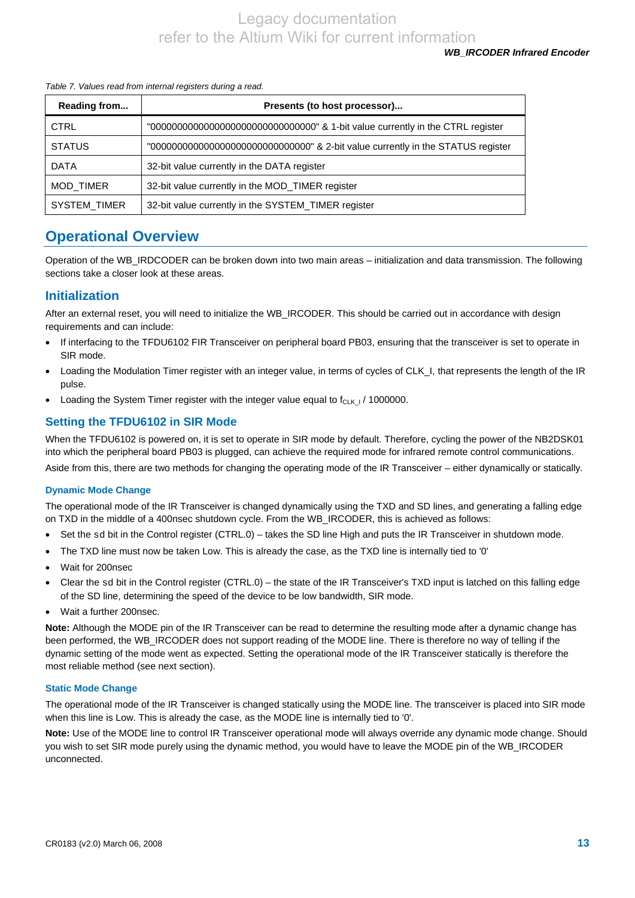#### *Table 7. Values read from internal registers during a read.*

| Reading from     | Presents (to host processor)                                                        |  |  |
|------------------|-------------------------------------------------------------------------------------|--|--|
| <b>CTRL</b>      | "00000000000000000000000000000000000" & 1-bit value currently in the CTRL register  |  |  |
| <b>STATUS</b>    | "0000000000000000000000000000000000" & 2-bit value currently in the STATUS register |  |  |
| <b>DATA</b>      | 32-bit value currently in the DATA register                                         |  |  |
| <b>MOD TIMER</b> | 32-bit value currently in the MOD_TIMER register                                    |  |  |
| SYSTEM_TIMER     | 32-bit value currently in the SYSTEM_TIMER register                                 |  |  |

## **Operational Overview**

Operation of the WB\_IRDCODER can be broken down into two main areas – initialization and data transmission. The following sections take a closer look at these areas.

## **Initialization**

After an external reset, you will need to initialize the WB\_IRCODER. This should be carried out in accordance with design requirements and can include:

- If interfacing to the TFDU6102 FIR Transceiver on peripheral board PB03, ensuring that the transceiver is set to operate in SIR mode.
- Loading the Modulation Timer register with an integer value, in terms of cycles of CLK\_I, that represents the length of the IR pulse.
- Loading the System Timer register with the integer value equal to  $f_{CLK+1}$  / 1000000.

## **Setting the TFDU6102 in SIR Mode**

When the TFDU6102 is powered on, it is set to operate in SIR mode by default. Therefore, cycling the power of the NB2DSK01 into which the peripheral board PB03 is plugged, can achieve the required mode for infrared remote control communications.

Aside from this, there are two methods for changing the operating mode of the IR Transceiver – either dynamically or statically.

#### **Dynamic Mode Change**

The operational mode of the IR Transceiver is changed dynamically using the TXD and SD lines, and generating a falling edge on TXD in the middle of a 400nsec shutdown cycle. From the WB\_IRCODER, this is achieved as follows:

- Set the sd bit in the Control register (CTRL.0) takes the SD line High and puts the IR Transceiver in shutdown mode.
- The TXD line must now be taken Low. This is already the case, as the TXD line is internally tied to '0'
- Wait for 200nsec
- Clear the sd bit in the Control register (CTRL.0) the state of the IR Transceiver's TXD input is latched on this falling edge of the SD line, determining the speed of the device to be low bandwidth, SIR mode.
- Wait a further 200nsec.

**Note:** Although the MODE pin of the IR Transceiver can be read to determine the resulting mode after a dynamic change has been performed, the WB\_IRCODER does not support reading of the MODE line. There is therefore no way of telling if the dynamic setting of the mode went as expected. Setting the operational mode of the IR Transceiver statically is therefore the most reliable method (see next section).

#### **Static Mode Change**

The operational mode of the IR Transceiver is changed statically using the MODE line. The transceiver is placed into SIR mode when this line is Low. This is already the case, as the MODE line is internally tied to '0'.

**Note:** Use of the MODE line to control IR Transceiver operational mode will always override any dynamic mode change. Should you wish to set SIR mode purely using the dynamic method, you would have to leave the MODE pin of the WB\_IRCODER unconnected.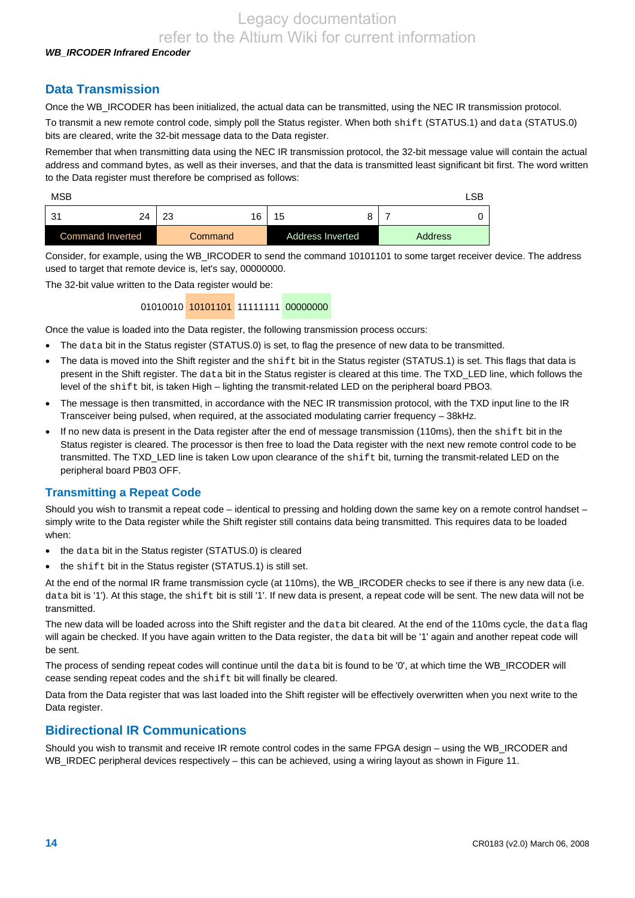#### *WB\_IRCODER Infrared Encoder*

## **Data Transmission**

Once the WB\_IRCODER has been initialized, the actual data can be transmitted, using the NEC IR transmission protocol.

To transmit a new remote control code, simply poll the Status register. When both shift (STATUS.1) and data (STATUS.0) bits are cleared, write the 32-bit message data to the Data register.

Remember that when transmitting data using the NEC IR transmission protocol, the 32-bit message value will contain the actual address and command bytes, as well as their inverses, and that the data is transmitted least significant bit first. The word written to the Data register must therefore be comprised as follows:

| <b>MSB</b>       |    |    |         |                         |  | LSB            |
|------------------|----|----|---------|-------------------------|--|----------------|
| بي.<br>. ت       | 24 | 23 | 16      | 15                      |  |                |
| Command Inverted |    |    | Command | <b>Address Inverted</b> |  | <b>Address</b> |

Consider, for example, using the WB\_IRCODER to send the command 10101101 to some target receiver device. The address used to target that remote device is, let's say, 00000000.

The 32-bit value written to the Data register would be:

01010010 10101101 11111111 00000000

Once the value is loaded into the Data register, the following transmission process occurs:

- The data bit in the Status register (STATUS.0) is set, to flag the presence of new data to be transmitted.
- The data is moved into the Shift register and the shift bit in the Status register (STATUS.1) is set. This flags that data is present in the Shift register. The data bit in the Status register is cleared at this time. The TXD\_LED line, which follows the level of the shift bit, is taken High – lighting the transmit-related LED on the peripheral board PBO3.
- The message is then transmitted, in accordance with the NEC IR transmission protocol, with the TXD input line to the IR Transceiver being pulsed, when required, at the associated modulating carrier frequency – 38kHz.
- If no new data is present in the Data register after the end of message transmission (110ms), then the shift bit in the Status register is cleared. The processor is then free to load the Data register with the next new remote control code to be transmitted. The TXD\_LED line is taken Low upon clearance of the shift bit, turning the transmit-related LED on the peripheral board PB03 OFF.

#### **Transmitting a Repeat Code**

Should you wish to transmit a repeat code – identical to pressing and holding down the same key on a remote control handset – simply write to the Data register while the Shift register still contains data being transmitted. This requires data to be loaded when:

- the data bit in the Status register (STATUS.0) is cleared
- the shift bit in the Status register (STATUS.1) is still set.

At the end of the normal IR frame transmission cycle (at 110ms), the WB\_IRCODER checks to see if there is any new data (i.e. data bit is '1'). At this stage, the shift bit is still '1'. If new data is present, a repeat code will be sent. The new data will not be transmitted.

The new data will be loaded across into the Shift register and the data bit cleared. At the end of the 110ms cycle, the data flag will again be checked. If you have again written to the Data register, the data bit will be '1' again and another repeat code will be sent.

The process of sending repeat codes will continue until the data bit is found to be '0', at which time the WB\_IRCODER will cease sending repeat codes and the shift bit will finally be cleared.

Data from the Data register that was last loaded into the Shift register will be effectively overwritten when you next write to the Data register.

### **Bidirectional IR Communications**

Should you wish to transmit and receive IR remote control codes in the same FPGA design – using the WB\_IRCODER and WB\_IRDEC peripheral devices respectively – this can be achieved, using a wiring layout as shown in Figure 11.